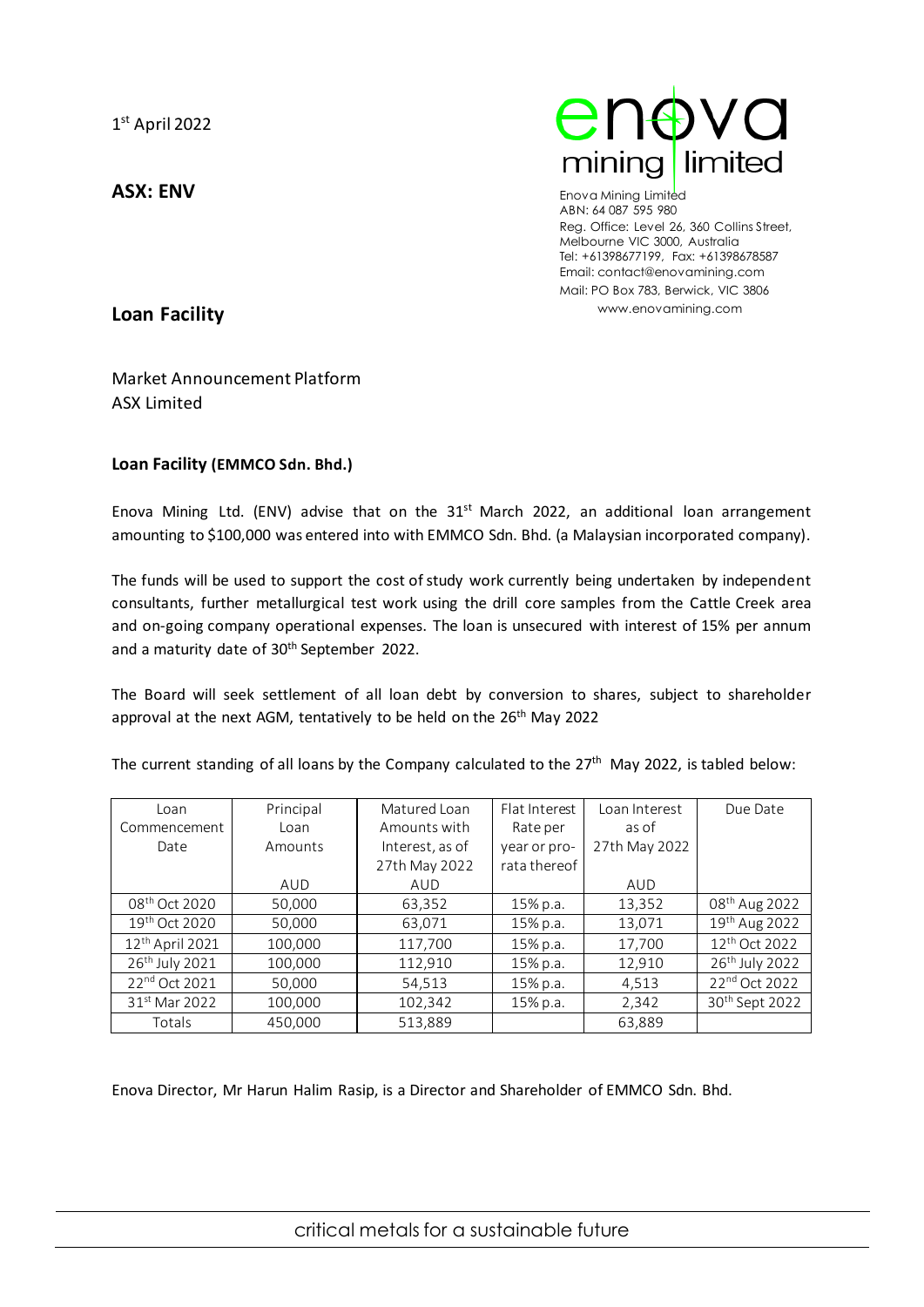**ASX: ENV**



Enova Mining Limited ABN: 64 087 595 980 Reg. Office: Level 26, 360 Collins Street, Melbourne VIC 3000, Australia Tel: +61398677199, Fax: +61398678587 Email: contact@enovamining.com Mail: PO Box 783, Berwick, VIC 3806 www.enovamining.com

**Loan Facility**

Market Announcement Platform ASX Limited

## **Loan Facility (EMMCO Sdn. Bhd.)**

Enova Mining Ltd. (ENV) advise that on the  $31<sup>st</sup>$  March 2022, an additional loan arrangement amounting to \$100,000 was entered into with EMMCO Sdn. Bhd. (a Malaysian incorporated company).

The funds will be used to support the cost of study work currently being undertaken by independent consultants, further metallurgical test work using the drill core samples from the Cattle Creek area and on-going company operational expenses. The loan is unsecured with interest of 15% per annum and a maturity date of 30<sup>th</sup> September 2022.

The Board will seek settlement of all loan debt by conversion to shares, subject to shareholder approval at the next AGM, tentatively to be held on the 26<sup>th</sup> May 2022

The current standing of all loans by the Company calculated to the 27<sup>th</sup> May 2022, is tabled below:

| Loan                       | Principal | Matured Loan    | Flat Interest | Loan Interest | Due Date                   |
|----------------------------|-----------|-----------------|---------------|---------------|----------------------------|
| Commencement               | Loan      | Amounts with    | Rate per      | as of         |                            |
| Date                       | Amounts   | Interest, as of | year or pro-  | 27th May 2022 |                            |
|                            |           | 27th May 2022   | rata thereof  |               |                            |
|                            | AUD       | AUD             |               | AUD           |                            |
| 08 <sup>th</sup> Oct 2020  | 50,000    | 63,352          | 15% p.a.      | 13,352        | 08 <sup>th</sup> Aug 2022  |
| 19th Oct 2020              | 50,000    | 63,071          | 15% p.a.      | 13,071        | 19 <sup>th</sup> Aug 2022  |
| $12th$ April 2021          | 100,000   | 117,700         | 15% p.a.      | 17,700        | 12 <sup>th</sup> Oct 2022  |
| 26 <sup>th</sup> July 2021 | 100,000   | 112,910         | 15% p.a.      | 12,910        | 26 <sup>th</sup> July 2022 |
| 22 <sup>nd</sup> Oct 2021  | 50,000    | 54,513          | 15% p.a.      | 4,513         | 22 <sup>nd</sup> Oct 2022  |
| 31 <sup>st</sup> Mar 2022  | 100,000   | 102,342         | 15% p.a.      | 2,342         | 30 <sup>th</sup> Sept 2022 |
| Totals                     | 450.000   | 513.889         |               | 63,889        |                            |

Enova Director, Mr Harun Halim Rasip, is a Director and Shareholder of EMMCO Sdn. Bhd.